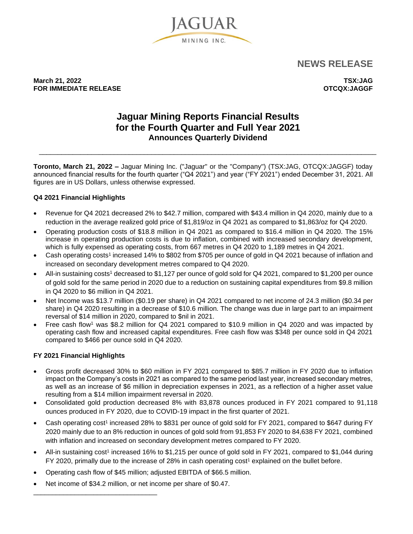

**NEWS RELEASE**

**March 21, 2022 TSX:JAG FOR IMMEDIATE RELEASE** 

# **Jaguar Mining Reports Financial Results for the Fourth Quarter and Full Year 2021 Announces Quarterly Dividend**

\_\_\_\_\_\_\_\_\_\_\_\_\_\_\_\_\_\_\_\_\_\_\_\_\_\_\_\_\_\_\_\_\_\_\_\_\_\_\_\_\_\_\_\_\_\_\_\_\_\_\_\_\_\_\_\_\_\_\_\_\_\_\_\_\_\_\_\_\_\_\_\_\_\_\_\_\_\_\_\_\_\_\_\_\_\_\_\_\_\_

**Toronto, March 21, 2022 –** Jaguar Mining Inc. ("Jaguar" or the "Company") (TSX:JAG, OTCQX:JAGGF) today announced financial results for the fourth quarter ("Q4 2021") and year ("FY 2021") ended December 31, 2021. All figures are in US Dollars, unless otherwise expressed.

## **Q4 2021 Financial Highlights**

- Revenue for Q4 2021 decreased 2% to \$42.7 million, compared with \$43.4 million in Q4 2020, mainly due to a reduction in the average realized gold price of \$1,819/oz in Q4 2021 as compared to \$1,863/oz for Q4 2020.
- Operating production costs of \$18.8 million in Q4 2021 as compared to \$16.4 million in Q4 2020. The 15% increase in operating production costs is due to inflation, combined with increased secondary development, which is fully expensed as operating costs, from 667 metres in Q4 2020 to 1,189 metres in Q4 2021.
- Cash operating costs<sup>1</sup> increased 14% to \$802 from \$705 per ounce of gold in Q4 2021 because of inflation and increased on secondary development metres compared to Q4 2020.
- All-in sustaining costs<sup>1</sup> decreased to \$1,127 per ounce of gold sold for Q4 2021, compared to \$1,200 per ounce of gold sold for the same period in 2020 due to a reduction on sustaining capital expenditures from \$9.8 million in Q4 2020 to \$6 million in Q4 2021.
- Net Income was \$13.7 million (\$0.19 per share) in Q4 2021 compared to net income of 24.3 million (\$0.34 per share) in Q4 2020 resulting in a decrease of \$10.6 million. The change was due in large part to an impairment reversal of \$14 million in 2020, compared to \$nil in 2021.
- Free cash flow<sup>1</sup> was \$8.2 million for Q4 2021 compared to \$10.9 million in Q4 2020 and was impacted by operating cash flow and increased capital expenditures. Free cash flow was \$348 per ounce sold in Q4 2021 compared to \$466 per ounce sold in Q4 2020.

# **FY 2021 Financial Highlights**

- Gross profit decreased 30% to \$60 million in FY 2021 compared to \$85.7 million in FY 2020 due to inflation impact on the Company's costs in 2021 as compared to the same period last year, increased secondary metres, as well as an increase of \$6 million in depreciation expenses in 2021, as a reflection of a higher asset value resulting from a \$14 million impairment reversal in 2020.
- Consolidated gold production decreased 8% with 83,878 ounces produced in FY 2021 compared to 91,118 ounces produced in FY 2020, due to COVID-19 impact in the first quarter of 2021.
- Cash operating cost<sup>1</sup> increased 28% to \$831 per ounce of gold sold for FY 2021, compared to \$647 during FY 2020 mainly due to an 8% reduction in ounces of gold sold from 91,853 FY 2020 to 84,638 FY 2021, combined with inflation and increased on secondary development metres compared to FY 2020.
- All-in sustaining cost<sup>1</sup> increased 16% to \$1,215 per ounce of gold sold in FY 2021, compared to \$1,044 during  $FY$  2020, primally due to the increase of 28% in cash operating cost<sup>1</sup> explained on the bullet before.
- Operating cash flow of \$45 million; adjusted EBITDA of \$66.5 million.
- Net income of \$34.2 million, or net income per share of \$0.47.

\_\_\_\_\_\_\_\_\_\_\_\_\_\_\_\_\_\_\_\_\_\_\_\_\_\_\_\_\_\_\_\_\_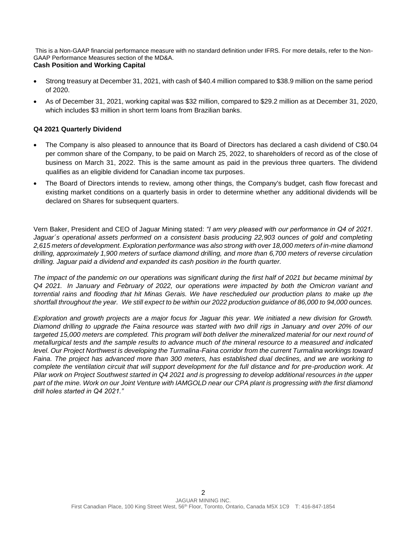This is a Non-GAAP financial performance measure with no standard definition under IFRS. For more details, refer to the Non-GAAP Performance Measures section of the MD&A. **Cash Position and Working Capital**

- Strong treasury at December 31, 2021, with cash of \$40.4 million compared to \$38.9 million on the same period of 2020.
- As of December 31, 2021, working capital was \$32 million, compared to \$29.2 million as at December 31, 2020, which includes \$3 million in short term loans from Brazilian banks.

## **Q4 2021 Quarterly Dividend**

- The Company is also pleased to announce that its Board of Directors has declared a cash dividend of C\$0.04 per common share of the Company, to be paid on March 25, 2022, to shareholders of record as of the close of business on March 31, 2022. This is the same amount as paid in the previous three quarters. The dividend qualifies as an eligible dividend for Canadian income tax purposes.
- The Board of Directors intends to review, among other things, the Company's budget, cash flow forecast and existing market conditions on a quarterly basis in order to determine whether any additional dividends will be declared on Shares for subsequent quarters.

Vern Baker, President and CEO of Jaguar Mining stated: *"I am very pleased with our performance in Q4 of 2021. Jaguar´s operational assets performed on a consistent basis producing 22,903 ounces of gold and completing 2,615 meters of development. Exploration performance was also strong with over 18,000 meters of in-mine diamond drilling, approximately 1,900 meters of surface diamond drilling, and more than 6,700 meters of reverse circulation drilling. Jaguar paid a dividend and expanded its cash position in the fourth quarter.* 

*The impact of the pandemic on our operations was significant during the first half of 2021 but became minimal by Q4 2021. In January and February of 2022, our operations were impacted by both the Omicron variant and torrential rains and flooding that hit Minas Gerais. We have rescheduled our production plans to make up the shortfall throughout the year. We still expect to be within our 2022 production guidance of 86,000 to 94,000 ounces.*

*Exploration and growth projects are a major focus for Jaguar this year. We initiated a new division for Growth. Diamond drilling to upgrade the Faina resource was started with two drill rigs in January and over 20% of our*  targeted 15,000 meters are completed. This program will both deliver the mineralized material for our next round of *metallurgical tests and the sample results to advance much of the mineral resource to a measured and indicated level. Our Project Northwest is developing the Turmalina-Faina corridor from the current Turmalina workings toward Faina. The project has advanced more than 300 meters, has established dual declines, and we are working to complete the ventilation circuit that will support development for the full distance and for pre-production work. At Pilar work on Project Southwest started in Q4 2021 and is progressing to develop additional resources in the upper part of the mine. Work on our Joint Venture with IAMGOLD near our CPA plant is progressing with the first diamond drill holes started in Q4 2021."*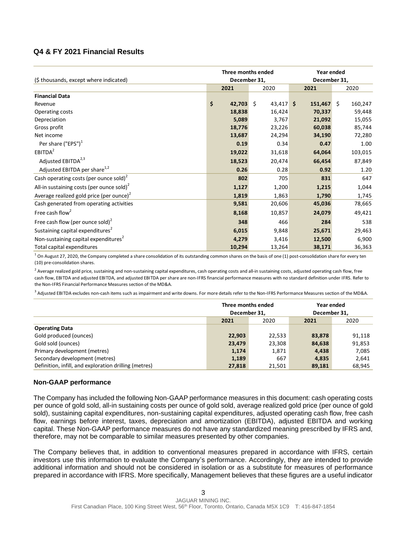# **Q4 & FY 2021 Financial Results**

| (\$ thousands, except where indicated)                |                   | Three months ended<br>December 31, | Year ended<br>December 31, |         |  |  |  |
|-------------------------------------------------------|-------------------|------------------------------------|----------------------------|---------|--|--|--|
|                                                       | 2021              | 2020                               | 2021                       | 2020    |  |  |  |
| <b>Financial Data</b>                                 |                   |                                    |                            |         |  |  |  |
| Revenue                                               | \$<br>$42,703$ \$ | $43,417$ \$                        | $151,467$ \$               | 160,247 |  |  |  |
| Operating costs                                       | 18,838            | 16,424                             | 70,337                     | 59,448  |  |  |  |
| Depreciation                                          | 5,089             | 3,767                              | 21,092                     | 15,055  |  |  |  |
| Gross profit                                          | 18,776            | 23,226                             | 60,038                     | 85,744  |  |  |  |
| Net income                                            | 13,687            | 24,294                             | 34,190                     | 72,280  |  |  |  |
| Per share ("EPS") <sup>1</sup>                        | 0.19              | 0.34                               | 0.47                       | 1.00    |  |  |  |
| EBITDA <sup>2</sup>                                   | 19,022            | 31,618                             | 64,064                     | 103,015 |  |  |  |
| Adjusted EBITDA <sup>2,3</sup>                        | 18,523            | 20,474                             | 66,454                     | 87,849  |  |  |  |
| Adjusted EBITDA per share <sup>1,2</sup>              | 0.26              | 0.28                               | 0.92                       | 1.20    |  |  |  |
| Cash operating costs (per ounce sold) <sup>2</sup>    | 802               | 705                                | 831                        | 647     |  |  |  |
| All-in sustaining costs (per ounce sold) <sup>2</sup> | 1,127             | 1,200                              | 1,215                      | 1,044   |  |  |  |
| Average realized gold price (per ounce) <sup>2</sup>  | 1,819             | 1,863                              | 1,790                      | 1,745   |  |  |  |
| Cash generated from operating activities              | 9,581             | 20,606                             | 45,036                     | 78,665  |  |  |  |
| Free cash flow <sup>2</sup>                           | 8,168             | 10,857                             | 24,079                     | 49,421  |  |  |  |
| Free cash flow (per ounce sold) <sup>2</sup>          | 348               | 466                                | 284                        | 538     |  |  |  |
| Sustaining capital expenditures <sup>2</sup>          | 6,015             | 9,848                              | 25,671                     | 29,463  |  |  |  |
| Non-sustaining capital expenditures <sup>2</sup>      | 4,279             | 3,416                              | 12,500                     | 6,900   |  |  |  |
| Total capital expenditures                            | 10,294            | 13,264                             | 38,171                     | 36,363  |  |  |  |

 $^1$  On August 27, 2020, the Company completed a share consolidation of its outstanding common shares on the basis of one (1) post-consolidation share for every ten (10) pre-consolidation shares.

<sup>2</sup> Average realized gold price, sustaining and non-sustaining capital expenditures, cash operating costs and all-in sustaining costs, adjusted operating cash flow, free cash flow, EBITDA and adjusted EBITDA, and adjusted EBITDA per share are non-IFRS financial performance measures with no standard definition under IFRS. Refer to the Non-IFRS Financial Performance Measures section of the MD&A.

 $^3$  Adjusted EBITDA excludes non-cash items such as impairment and write downs. For more details refer to the Non-IFRS Performance Measures section of the MD&A.

|                                                       | Three months ended |        | Year ended   |        |  |  |
|-------------------------------------------------------|--------------------|--------|--------------|--------|--|--|
|                                                       | December 31,       |        | December 31. |        |  |  |
|                                                       | 2021               | 2020   |              | 2020   |  |  |
| <b>Operating Data</b>                                 |                    |        |              |        |  |  |
| Gold produced (ounces)                                | 22,903             | 22,533 |              | 91,118 |  |  |
| Gold sold (ounces)                                    | 23,479             | 23,308 | 84,638       | 91,853 |  |  |
| Primary development (metres)                          | 1,174              | 1,871  | 4,438        | 7,085  |  |  |
| Secondary development (metres)                        | 1,189              | 667    | 4,835        | 2,641  |  |  |
| Definition, infill, and exploration drilling (metres) | 27,818             | 21,501 | 89,181       | 68,945 |  |  |

#### **Non-GAAP performance**

The Company has included the following Non-GAAP performance measures in this document: cash operating costs per ounce of gold sold, all-in sustaining costs per ounce of gold sold, average realized gold price (per ounce of gold sold), sustaining capital expenditures, non-sustaining capital expenditures, adjusted operating cash flow, free cash flow, earnings before interest, taxes, depreciation and amortization (EBITDA), adjusted EBITDA and working capital. These Non-GAAP performance measures do not have any standardized meaning prescribed by IFRS and, therefore, may not be comparable to similar measures presented by other companies.

The Company believes that, in addition to conventional measures prepared in accordance with IFRS, certain investors use this information to evaluate the Company's performance. Accordingly, they are intended to provide additional information and should not be considered in isolation or as a substitute for measures of performance prepared in accordance with IFRS. More specifically, Management believes that these figures are a useful indicator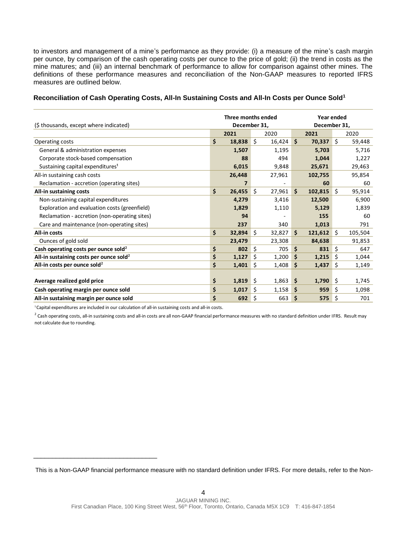to investors and management of a mine's performance as they provide: (i) a measure of the mine's cash margin per ounce, by comparison of the cash operating costs per ounce to the price of gold; (ii) the trend in costs as the mine matures; and (iii) an internal benchmark of performance to allow for comparison against other mines. The definitions of these performance measures and reconciliation of the Non-GAAP measures to reported IFRS measures are outlined below.

| Reconciliation of Cash Operating Costs, All-In Sustaining Costs and All-In Costs per Ounce Sold <sup>1</sup> |  |  |
|--------------------------------------------------------------------------------------------------------------|--|--|
|--------------------------------------------------------------------------------------------------------------|--|--|

|                                                     | Three months ended |                |    |        | Year ended   |              |      |         |  |
|-----------------------------------------------------|--------------------|----------------|----|--------|--------------|--------------|------|---------|--|
| (\$ thousands, except where indicated)              | December 31,       |                |    |        | December 31, |              |      |         |  |
|                                                     |                    | 2021           |    | 2020   |              | 2021         | 2020 |         |  |
| Operating costs                                     | \$                 | 18,838         | \$ | 16,424 | \$           | 70,337       | \$   | 59,448  |  |
| General & administration expenses                   |                    | 1,507          |    | 1,195  |              | 5,703        |      | 5,716   |  |
| Corporate stock-based compensation                  |                    | 88             |    | 494    |              | 1,044        |      | 1,227   |  |
| Sustaining capital expenditures <sup>1</sup>        |                    | 6,015          |    | 9,848  |              | 25,671       |      | 29,463  |  |
| All-in sustaining cash costs                        |                    | 26,448         |    | 27,961 |              | 102,755      |      | 95,854  |  |
| Reclamation - accretion (operating sites)           |                    | $\overline{7}$ |    |        |              | 60           |      | 60      |  |
| All-in sustaining costs                             | \$                 | 26,455         | Ŝ. | 27,961 | Ŝ.           | 102,815      | Ŝ.   | 95,914  |  |
| Non-sustaining capital expenditures                 |                    | 4,279          |    | 3,416  |              | 12,500       |      | 6,900   |  |
| Exploration and evaluation costs (greenfield)       |                    | 1,829          |    | 1,110  |              | 5,129        |      | 1,839   |  |
| Reclamation - accretion (non-operating sites)       |                    | 94             |    |        |              | 155          |      | 60      |  |
| Care and maintenance (non-operating sites)          |                    | 237            |    | 340    |              | 1,013        |      | 791     |  |
| All-in costs                                        | \$                 | 32,894         | \$ | 32,827 | Ś.           | $121,612$ \$ |      | 105,504 |  |
| Ounces of gold sold                                 |                    | 23,479         |    | 23,308 |              | 84,638       |      | 91,853  |  |
| Cash operating costs per ounce sold <sup>2</sup>    | \$                 | 802            | \$ | 705    | \$           | 831          | \$   | 647     |  |
| All-in sustaining costs per ounce sold <sup>2</sup> | \$                 | 1,127          | Ś. | 1,200  | \$           | 1,215        | Ŝ.   | 1,044   |  |
| All-in costs per ounce sold <sup>2</sup>            | \$                 | 1,401          | \$ | 1,408  | \$           | 1,437        | Ś.   | 1,149   |  |
|                                                     |                    |                |    |        |              |              |      |         |  |
| Average realized gold price                         | \$                 | 1,819          | Ŝ. | 1,863  | \$           | 1,790 \$     |      | 1,745   |  |
| Cash operating margin per ounce sold                | \$                 | 1,017          | \$ | 1,158  | \$           | 959          | Ś.   | 1,098   |  |
| All-in sustaining margin per ounce sold             | \$                 | 692            | \$ | 663    | \$           | 575          | Ś.   | 701     |  |

<sup>1</sup> Capital expenditures are included in our calculation of all-in sustaining costs and all-in costs.

\_\_\_\_\_\_\_\_\_\_\_\_\_\_\_\_\_\_\_\_\_\_\_\_\_\_\_\_\_\_\_\_\_

<sup>2</sup> Cash operating costs, all-in sustaining costs and all-in costs are all non-GAAP financial performance measures with no standard definition under IFRS. Result may not calculate due to rounding.

This is a Non-GAAP financial performance measure with no standard definition under IFRS. For more details, refer to the Non-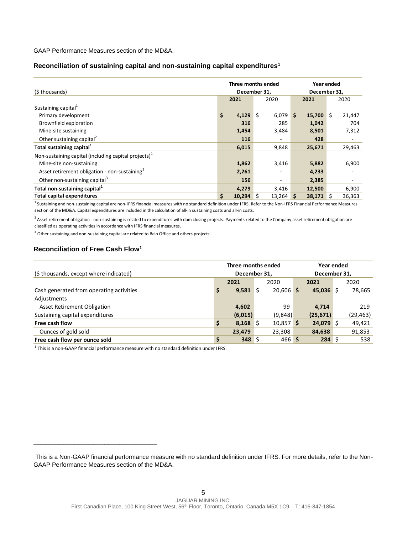GAAP Performance Measures section of the MD&A.

#### **Reconciliation of sustaining capital and non-sustaining capital expenditures<sup>1</sup>**

|                                                           | Three months ended |              |            |    |              | Year ended |        |  |  |  |  |
|-----------------------------------------------------------|--------------------|--------------|------------|----|--------------|------------|--------|--|--|--|--|
| (\$ thousands)                                            | December 31,       |              |            |    | December 31, |            |        |  |  |  |  |
|                                                           |                    | 2020<br>2021 |            |    | 2021<br>2020 |            |        |  |  |  |  |
| Sustaining capital <sup>1</sup>                           |                    |              |            |    |              |            |        |  |  |  |  |
| Primary development                                       | \$                 | 4,129        | Ŝ<br>6,079 | \$ | 15,700       | Ś          | 21,447 |  |  |  |  |
| Brownfield exploration                                    |                    | 316          | 285        |    | 1,042        |            | 704    |  |  |  |  |
| Mine-site sustaining                                      |                    | 1,454        | 3,484      |    | 8,501        |            | 7,312  |  |  |  |  |
| Other sustaining capital <sup>2</sup>                     |                    | 116          | ۰          |    | 428          |            |        |  |  |  |  |
| Total sustaining capital <sup>1</sup>                     |                    | 6,015        | 9,848      |    | 25,671       |            | 29,463 |  |  |  |  |
| Non-sustaining capital (including capital projects) $1$   |                    |              |            |    |              |            |        |  |  |  |  |
| Mine-site non-sustaining                                  |                    | 1,862        | 3,416      |    | 5,882        |            | 6,900  |  |  |  |  |
| Asset retirement obligation - non-sustaining <sup>2</sup> |                    | 2,261        | ۰          |    | 4,233        |            |        |  |  |  |  |
| Other non-sustaining capital <sup>3</sup>                 |                    | 156          | ۰.         |    | 2,385        |            | -      |  |  |  |  |
| Total non-sustaining capital <sup>1</sup>                 |                    | 4,279        | 3,416      |    | 12,500       |            | 6,900  |  |  |  |  |
| <b>Total capital expenditures</b>                         | \$                 | $10,294$ \$  | 13,264     | Ś  | 38,171       | S          | 36,363 |  |  |  |  |

 $\frac{1}{1}$ Sustaining and non-sustaining capital are non-IFRS financial measures with no standard definition under IFRS. Refer to the Non-IFRS Financial Performance Measures section of the MD&A. Capital expenditures are included in the calculation of all-in sustaining costs and all-in costs.

<sup>2</sup> Asset retirement obligation - non-sustaining is related to expenditures with dam closing projects. Payments related to the Company asset retirement obligation are classified as operating activities in accordance with IFRS financial measures.

 $3$  Other sustaining and non-sustaining capital are related to Belo Office and others projects.

### **Reconciliation of Free Cash Flow<sup>1</sup>**

\_\_\_\_\_\_\_\_\_\_\_\_\_\_\_\_\_\_\_\_\_\_\_\_\_\_\_\_\_\_\_\_\_

|                                          | Three months ended<br>December 31, |              |             |             | Year ended |              |  |        |         |     |  |           |  |           |  |  |  |  |  |  |  |  |  |  |  |  |  |  |      |  |      |
|------------------------------------------|------------------------------------|--------------|-------------|-------------|------------|--------------|--|--------|---------|-----|--|-----------|--|-----------|--|--|--|--|--|--|--|--|--|--|--|--|--|--|------|--|------|
| (\$ thousands, except where indicated)   |                                    |              |             |             |            | December 31, |  |        |         |     |  |           |  |           |  |  |  |  |  |  |  |  |  |  |  |  |  |  |      |  |      |
|                                          |                                    | 2021         | 2020        |             |            |              |  |        |         |     |  |           |  |           |  |  |  |  |  |  |  |  |  |  |  |  |  |  | 2021 |  | 2020 |
| Cash generated from operating activities | \$                                 | 9,581        | $20,606$ \$ |             |            | $45,036$ \$  |  | 78,665 |         |     |  |           |  |           |  |  |  |  |  |  |  |  |  |  |  |  |  |  |      |  |      |
| Adjustments                              |                                    |              |             |             |            |              |  |        |         |     |  |           |  |           |  |  |  |  |  |  |  |  |  |  |  |  |  |  |      |  |      |
| Asset Retirement Obligation              |                                    | 4,602        | 99          |             |            |              |  | 4.714  |         | 219 |  |           |  |           |  |  |  |  |  |  |  |  |  |  |  |  |  |  |      |  |      |
| Sustaining capital expenditures          |                                    | (6,015)      |             |             |            |              |  |        | (9,848) |     |  | (25, 671) |  | (29, 463) |  |  |  |  |  |  |  |  |  |  |  |  |  |  |      |  |      |
| Free cash flow                           | \$                                 | $8,168$ \$   |             | $10,857$ \$ |            | $24,079$ \$  |  | 49,421 |         |     |  |           |  |           |  |  |  |  |  |  |  |  |  |  |  |  |  |  |      |  |      |
| Ounces of gold sold                      |                                    | 23,479       |             | 23,308      |            | 84,638       |  | 91,853 |         |     |  |           |  |           |  |  |  |  |  |  |  |  |  |  |  |  |  |  |      |  |      |
| Free cash flow per ounce sold            | \$                                 | 348S<br>466S |             |             |            | 284S         |  | 538    |         |     |  |           |  |           |  |  |  |  |  |  |  |  |  |  |  |  |  |  |      |  |      |

 $^1$  This is a non-GAAP financial performance measure with no standard definition under IFRS.

This is a Non-GAAP financial performance measure with no standard definition under IFRS. For more details, refer to the Non-GAAP Performance Measures section of the MD&A.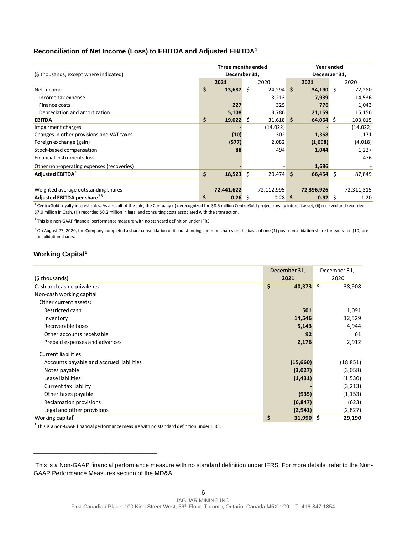#### **Reconciliation of Net Income (Loss) to EBITDA and Adjusted EBITDA<sup>1</sup>**

|                                               | Three months ended |              |    |              |  | Year ended         |    |            |  |  |
|-----------------------------------------------|--------------------|--------------|----|--------------|--|--------------------|----|------------|--|--|
| (\$ thousands, except where indicated)        | December 31,       |              |    |              |  | December 31,       |    |            |  |  |
|                                               |                    | 2021<br>2020 |    | 2021         |  |                    |    | 2020       |  |  |
| Net Income                                    | \$                 | 13,687       | Ś. | $24,294$ \$  |  | 34,190             | Ŝ. | 72,280     |  |  |
| Income tax expense                            |                    |              |    | 3,213        |  | 7,939              |    | 14,536     |  |  |
| Finance costs                                 |                    | 227          |    | 325          |  | 776                |    | 1,043      |  |  |
| Depreciation and amortization                 |                    | 5,108        |    | 3,786        |  | 21,159             |    | 15,156     |  |  |
| <b>EBITDA</b>                                 | \$                 | 19,022       | Ŝ. | $31,618$ \$  |  | $64,064$ \$        |    | 103,015    |  |  |
| Impairment charges                            |                    |              |    | (14, 022)    |  |                    |    | (14, 022)  |  |  |
| Changes in other provisions and VAT taxes     |                    | (10)         |    | 302          |  | 1,358              |    | 1,171      |  |  |
| Foreign exchange (gain)                       |                    | (577)        |    | 2,082        |  | (1,698)            |    | (4,018)    |  |  |
| Stock-based compensation                      |                    | 88           |    | 494          |  | 1,044              |    | 1,227      |  |  |
| Financial instruments loss                    |                    |              |    |              |  |                    |    | 476        |  |  |
| Other non-operating expenses (recoveries) $1$ |                    |              |    |              |  | 1,686              |    |            |  |  |
| Adjusted EBITDA <sup>2</sup>                  | \$                 | 18,523       | Ś  | $20,474$ \$  |  | 66,454             | Ŝ. | 87,849     |  |  |
|                                               |                    |              |    |              |  |                    |    |            |  |  |
| Weighted average outstanding shares           |                    | 72,441,622   |    | 72,112,995   |  | 72,396,926         |    | 72,311,315 |  |  |
| Adjusted EBITDA per share <sup>2,3</sup>      | \$                 | $0.26$ \$    |    | $0.28 \;$ \$ |  | $0.92 \quad \zeta$ |    | 1.20       |  |  |

 $^1$  CentroGold royalty interest sales. As a result of the sale, the Company (i) derecognized the \$8.5 million CentroGold project royalty interest asset, (ii) received and recorded \$7.0 million in Cash, (iii) recorded \$0.2 million in legal and consulting costs associated with the transaction.

 $2$  This is a non-GAAP financial performance measure with no standard definition under IFRS.

 $^3$  On August 27, 2020, the Company completed a share consolidation of its outstanding common shares on the basis of one (1) post-consolidation share for every ten (10) preconsolidation shares.

## **Working Capital<sup>1</sup>**

|                                          | December 31,      | December 31, |
|------------------------------------------|-------------------|--------------|
| (\$ thousands)                           | 2021              | 2020         |
| Cash and cash equivalents                | \$<br>$40,373$ \$ | 38,908       |
| Non-cash working capital                 |                   |              |
| Other current assets:                    |                   |              |
| Restricted cash                          | 501               | 1,091        |
| Inventory                                | 14,546            | 12,529       |
| Recoverable taxes                        | 5,143             | 4,944        |
| Other accounts receivable                | 92                | 61           |
| Prepaid expenses and advances            | 2,176             | 2,912        |
| <b>Current liabilities:</b>              |                   |              |
| Accounts payable and accrued liabilities | (15,660)          | (18,851)     |
| Notes payable                            | (3,027)           | (3,058)      |
| Lease liabilities                        | (1, 431)          | (1,530)      |
| Current tax liability                    |                   | (3, 213)     |
| Other taxes payable                      | (935)             | (1, 153)     |
| Reclamation provisions                   | (6, 847)          | (623)        |
| Legal and other provisions               | (2,941)           | (2,827)      |
| Working capital <sup>1</sup>             | \$<br>$31,990$ \$ | 29,190       |

 $<sup>1</sup>$  This is a non-GAAP financial performance measure with no standard definition under IFRS.</sup>

\_\_\_\_\_\_\_\_\_\_\_\_\_\_\_\_\_\_\_\_\_\_\_\_\_\_\_\_\_\_\_\_\_

This is a Non-GAAP financial performance measure with no standard definition under IFRS. For more details, refer to the Non-GAAP Performance Measures section of the MD&A.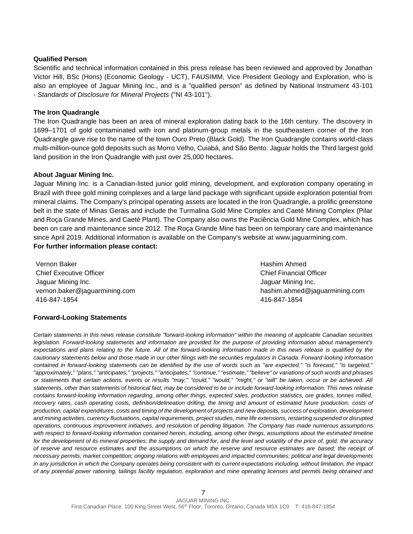### **Qualified Person**

Scientific and technical information contained in this press release has been reviewed and approved by Jonathan Victor Hill, BSc (Hons) (Economic Geology - UCT), FAUSIMM, Vice President Geology and Exploration, who is also an employee of Jaguar Mining Inc., and is a "qualified person" as defined by National Instrument 43-101 - *Standards of Disclosure for Mineral Projects* ("NI 43-101").

### **The Iron Quadrangle**

The Iron Quadrangle has been an area of mineral exploration dating back to the 16th century. The discovery in 1699–1701 of gold contaminated with iron and platinum-group metals in the southeastern corner of the Iron Quadrangle gave rise to the name of the town Ouro Preto (Black Gold). The Iron Quadrangle contains world-class multi-million-ounce gold deposits such as Morro Velho, Cuiabá, and São Bento. Jaguar holds the Third largest gold land position in the Iron Quadrangle with just over 25,000 hectares.

## **About Jaguar Mining Inc.**

Jaguar Mining Inc. is a Canadian-listed junior gold mining, development, and exploration company operating in Brazil with three gold mining complexes and a large land package with significant upside exploration potential from mineral claims. The Company's principal operating assets are located in the Iron Quadrangle, a prolific greenstone belt in the state of Minas Gerais and include the Turmalina Gold Mine Complex and Caeté Mining Complex (Pilar and Roça Grande Mines, and Caeté Plant). The Company also owns the Paciência Gold Mine Complex, which has been on care and maintenance since 2012. The Roça Grande Mine has been on temporary care and maintenance since April 2019. Additional information is available on the Company's website at www.jaguarmining.com. **For further information please contact:**

Vernon Baker Chief Executive Officer Jaguar Mining Inc. vernon.baker@jaguarmining.com 416-847-1854

Hashim Ahmed Chief Financial Officer Jaguar Mining Inc. hashim.ahmed@jaguarmining.com 416-847-1854

## **Forward-Looking Statements**

*Certain statements in this news release constitute "forward-looking information" within the meaning of applicable Canadian securities*  legislation. Forward-looking statements and information are provided for the purpose of providing information about management's *expectations and plans relating to the future. All of the forward-looking information made in this news release is qualified by the cautionary statements below and those made in our other filings with the securities regulators in Canada. Forward-looking information contained in forward-looking statements can be identified by the use of words such as "are expected," "is forecast," "is targeted," "approximately," "plans," "anticipates," "projects," "anticipates," "continue," "estimate," "believe" or variations of such words and phrases or statements that certain actions, events or results "may," "could," "would," "might," or "will" be taken, occur or be achieved. All statements, other than statements of historical fact, may be considered to be or include forward-looking information. This news release contains forward-looking information regarding, among other things, expected sales, production statistics, ore grades, tonnes milled, recovery rates, cash operating costs, definition/delineation drilling, the timing and amount of estimated future production, costs of production, capital expenditures, costs and timing of the development of projects and new deposits, success of exploration, development and mining activities, currency fluctuations, capital requirements, project studies, mine life extensions, restarting suspended or disrupted operations, continuous improvement initiatives, and resolution of pending litigation. The Company has made numerous assumptions*  with respect to forward-looking information contained herein, including, among other things, assumptions about the estimated timeline *for the development of its mineral properties; the supply and demand for, and the level and volatility of the price of, gold; the accuracy of reserve and resource estimates and the assumptions on which the reserve and resource estimates are based; the receipt of necessary permits; market competition; ongoing relations with employees and impacted communities; political and legal developments in any jurisdiction in which the Company operates being consistent with its current expectations including, without limitation, the impact of any potential power rationing, tailings facility regulation, exploration and mine operating licenses and permits being obtained and*